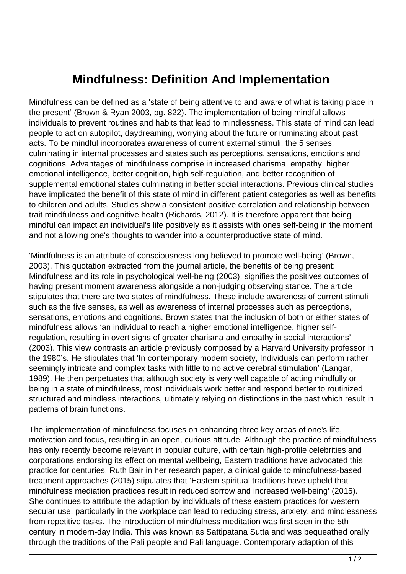## **Mindfulness: Definition And Implementation**

Mindfulness can be defined as a 'state of being attentive to and aware of what is taking place in the present' (Brown & Ryan 2003, pg. 822). The implementation of being mindful allows individuals to prevent routines and habits that lead to mindlessness. This state of mind can lead people to act on autopilot, daydreaming, worrying about the future or ruminating about past acts. To be mindful incorporates awareness of current external stimuli, the 5 senses, culminating in internal processes and states such as perceptions, sensations, emotions and cognitions. Advantages of mindfulness comprise in increased charisma, empathy, higher emotional intelligence, better cognition, high self-regulation, and better recognition of supplemental emotional states culminating in better social interactions. Previous clinical studies have implicated the benefit of this state of mind in different patient categories as well as benefits to children and adults. Studies show a consistent positive correlation and relationship between trait mindfulness and cognitive health (Richards, 2012). It is therefore apparent that being mindful can impact an individual's life positively as it assists with ones self-being in the moment and not allowing one's thoughts to wander into a counterproductive state of mind.

'Mindfulness is an attribute of consciousness long believed to promote well-being' (Brown, 2003). This quotation extracted from the journal article, the benefits of being present: Mindfulness and its role in psychological well-being (2003), signifies the positives outcomes of having present moment awareness alongside a non-judging observing stance. The article stipulates that there are two states of mindfulness. These include awareness of current stimuli such as the five senses, as well as awareness of internal processes such as perceptions, sensations, emotions and cognitions. Brown states that the inclusion of both or either states of mindfulness allows 'an individual to reach a higher emotional intelligence, higher selfregulation, resulting in overt signs of greater charisma and empathy in social interactions' (2003). This view contrasts an article previously composed by a Harvard University professor in the 1980's. He stipulates that 'In contemporary modern society, Individuals can perform rather seemingly intricate and complex tasks with little to no active cerebral stimulation' (Langar, 1989). He then perpetuates that although society is very well capable of acting mindfully or being in a state of mindfulness, most individuals work better and respond better to routinized, structured and mindless interactions, ultimately relying on distinctions in the past which result in patterns of brain functions.

The implementation of mindfulness focuses on enhancing three key areas of one's life, motivation and focus, resulting in an open, curious attitude. Although the practice of mindfulness has only recently become relevant in popular culture, with certain high-profile celebrities and corporations endorsing its effect on mental wellbeing, Eastern traditions have advocated this practice for centuries. Ruth Bair in her research paper, a clinical guide to mindfulness-based treatment approaches (2015) stipulates that 'Eastern spiritual traditions have upheld that mindfulness mediation practices result in reduced sorrow and increased well-being' (2015). She continues to attribute the adaption by individuals of these eastern practices for western secular use, particularly in the workplace can lead to reducing stress, anxiety, and mindlessness from repetitive tasks. The introduction of mindfulness meditation was first seen in the 5th century in modern-day India. This was known as Sattipatana Sutta and was bequeathed orally through the traditions of the Pali people and Pali language. Contemporary adaption of this